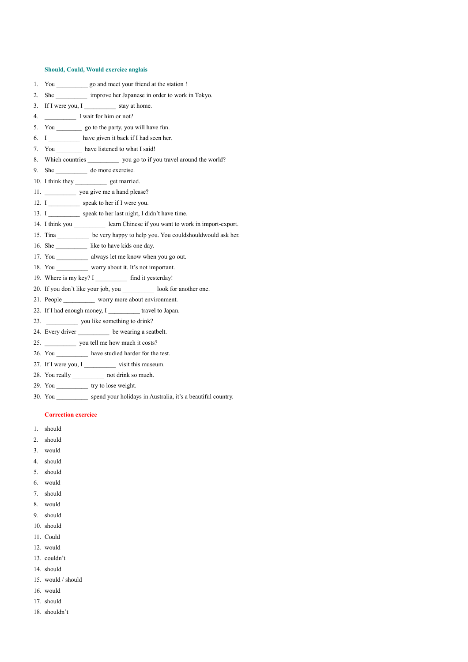## **Should, Could, Would exercice anglais**

|    | 1. You go and meet your friend at the station !                                  |
|----|----------------------------------------------------------------------------------|
| 2. | She _____________ improve her Japanese in order to work in Tokyo.                |
| 3. | If I were you, I stay at home.                                                   |
| 4. | I wait for him or not?                                                           |
| 5. | You _____________ go to the party, you will have fun.                            |
|    | 6. I have given it back if I had seen her.                                       |
|    | 7. You have listened to what I said!                                             |
|    | 8. Which countries ____________ you go to if you travel around the world?        |
|    |                                                                                  |
|    | 10. I think they _______________ get married.                                    |
|    | 11. ___________________ you give me a hand please?                               |
|    | 12. I ____________ speak to her if I were you.                                   |
|    | 13. I ____________ speak to her last night, I didn't have time.                  |
|    | 14. I think you ____________ learn Chinese if you want to work in import-export. |
|    | 15. Tina __________ be very happy to help you. You couldshould would ask her.    |
|    | 16. She _____________ like to have kids one day.                                 |
|    | 17. You always let me know when you go out.                                      |
|    | 18. You worry about it. It's not important.                                      |
|    | 19. Where is my key? I ______________ find it yesterday!                         |
|    | 20. If you don't like your job, you ____________ look for another one.           |
|    | 21. People ___________ worry more about environment.                             |
|    | 22. If I had enough money, I ____________ travel to Japan.                       |
|    | 23. you like something to drink?                                                 |
|    | 24. Every driver ____________ be wearing a seatbelt.                             |
|    |                                                                                  |

- 25. \_\_\_\_\_\_\_\_\_\_\_\_\_ you tell me how much it costs?
- 26. You \_\_\_\_\_\_\_\_\_\_\_\_ have studied harder for the test.
- 27. If I were you, I \_\_\_\_\_\_\_\_\_\_\_ visit this museum.
- 28. You really \_\_\_\_\_\_\_\_\_\_ not drink so much.
- 29. You \_\_\_\_\_\_\_\_\_\_ try to lose weight.
- 30. You \_\_\_\_\_\_\_\_\_\_ spend your holidays in Australia, it's a beautiful country.

## **Correction exercice**

- 1. should
- 2. should
- 3. would
- 4. should
- 5. should
- 6. would
- 7. should
- 8. would
- 9. should
- 10. should
- 11. Could
- 12. would
- 13. couldn't
- 14. should
- 15. would / should
- 16. would
- 17. should
- 18. shouldn't